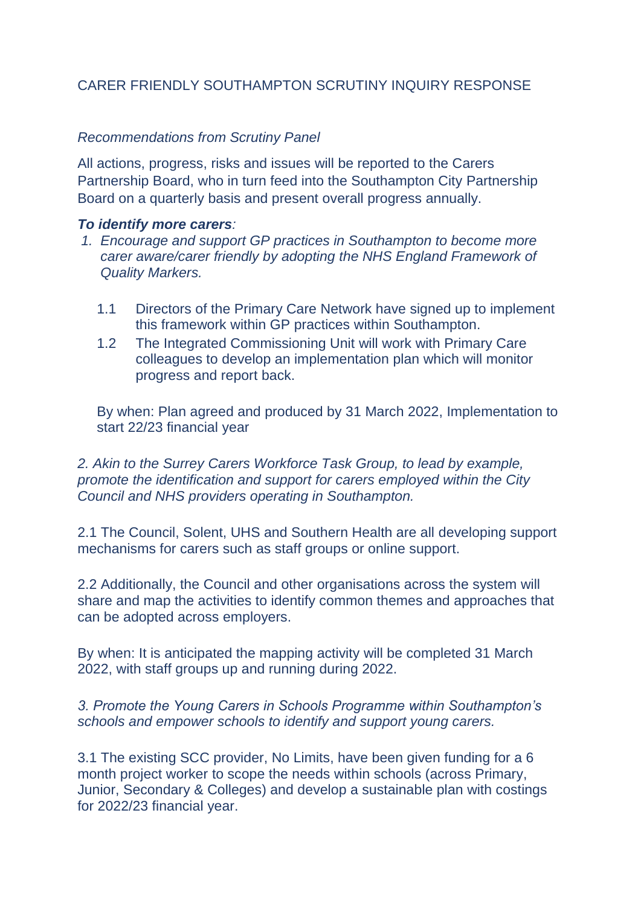# CARER FRIENDLY SOUTHAMPTON SCRUTINY INQUIRY RESPONSE

### *Recommendations from Scrutiny Panel*

All actions, progress, risks and issues will be reported to the Carers Partnership Board, who in turn feed into the Southampton City Partnership Board on a quarterly basis and present overall progress annually.

#### *To identify more carers:*

- *1. Encourage and support GP practices in Southampton to become more carer aware/carer friendly by adopting the NHS England Framework of Quality Markers.* 
	- 1.1 Directors of the Primary Care Network have signed up to implement this framework within GP practices within Southampton.
	- 1.2 The Integrated Commissioning Unit will work with Primary Care colleagues to develop an implementation plan which will monitor progress and report back.

By when: Plan agreed and produced by 31 March 2022, Implementation to start 22/23 financial year

*2. Akin to the Surrey Carers Workforce Task Group, to lead by example, promote the identification and support for carers employed within the City Council and NHS providers operating in Southampton.* 

2.1 The Council, Solent, UHS and Southern Health are all developing support mechanisms for carers such as staff groups or online support.

2.2 Additionally, the Council and other organisations across the system will share and map the activities to identify common themes and approaches that can be adopted across employers.

By when: It is anticipated the mapping activity will be completed 31 March 2022, with staff groups up and running during 2022.

*3. Promote the Young Carers in Schools Programme within Southampton's schools and empower schools to identify and support young carers.* 

3.1 The existing SCC provider, No Limits, have been given funding for a 6 month project worker to scope the needs within schools (across Primary, Junior, Secondary & Colleges) and develop a sustainable plan with costings for 2022/23 financial year.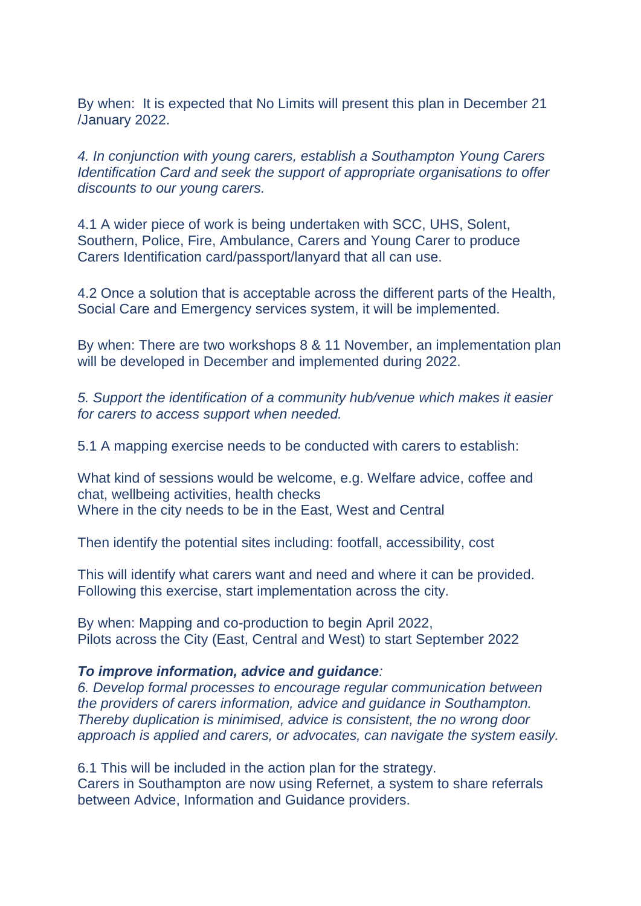By when: It is expected that No Limits will present this plan in December 21 /January 2022.

*4. In conjunction with young carers, establish a Southampton Young Carers Identification Card and seek the support of appropriate organisations to offer discounts to our young carers.*

4.1 A wider piece of work is being undertaken with SCC, UHS, Solent, Southern, Police, Fire, Ambulance, Carers and Young Carer to produce Carers Identification card/passport/lanyard that all can use.

4.2 Once a solution that is acceptable across the different parts of the Health, Social Care and Emergency services system, it will be implemented.

By when: There are two workshops 8 & 11 November, an implementation plan will be developed in December and implemented during 2022.

*5. Support the identification of a community hub/venue which makes it easier for carers to access support when needed.* 

5.1 A mapping exercise needs to be conducted with carers to establish:

What kind of sessions would be welcome, e.g. Welfare advice, coffee and chat, wellbeing activities, health checks Where in the city needs to be in the East, West and Central

Then identify the potential sites including: footfall, accessibility, cost

This will identify what carers want and need and where it can be provided. Following this exercise, start implementation across the city.

By when: Mapping and co-production to begin April 2022, Pilots across the City (East, Central and West) to start September 2022

#### *To improve information, advice and guidance:*

*6. Develop formal processes to encourage regular communication between the providers of carers information, advice and guidance in Southampton. Thereby duplication is minimised, advice is consistent, the no wrong door approach is applied and carers, or advocates, can navigate the system easily.* 

6.1 This will be included in the action plan for the strategy. Carers in Southampton are now using Refernet, a system to share referrals between Advice, Information and Guidance providers.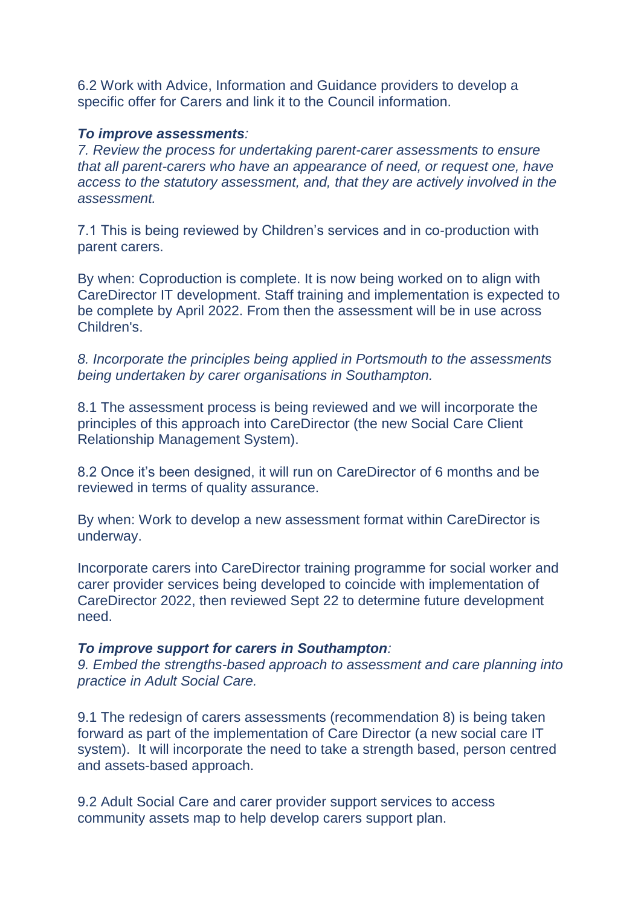6.2 Work with Advice, Information and Guidance providers to develop a specific offer for Carers and link it to the Council information.

#### *To improve assessments:*

*7. Review the process for undertaking parent-carer assessments to ensure that all parent-carers who have an appearance of need, or request one, have access to the statutory assessment, and, that they are actively involved in the assessment.* 

7.1 This is being reviewed by Children's services and in co-production with parent carers.

By when: Coproduction is complete. It is now being worked on to align with CareDirector IT development. Staff training and implementation is expected to be complete by April 2022. From then the assessment will be in use across Children's.

*8. Incorporate the principles being applied in Portsmouth to the assessments being undertaken by carer organisations in Southampton.* 

8.1 The assessment process is being reviewed and we will incorporate the principles of this approach into CareDirector (the new Social Care Client Relationship Management System).

8.2 Once it's been designed, it will run on CareDirector of 6 months and be reviewed in terms of quality assurance.

By when: Work to develop a new assessment format within CareDirector is underway.

Incorporate carers into CareDirector training programme for social worker and carer provider services being developed to coincide with implementation of CareDirector 2022, then reviewed Sept 22 to determine future development need.

### *To improve support for carers in Southampton:*

*9. Embed the strengths-based approach to assessment and care planning into practice in Adult Social Care.* 

9.1 The redesign of carers assessments (recommendation 8) is being taken forward as part of the implementation of Care Director (a new social care IT system). It will incorporate the need to take a strength based, person centred and assets-based approach.

9.2 Adult Social Care and carer provider support services to access community assets map to help develop carers support plan.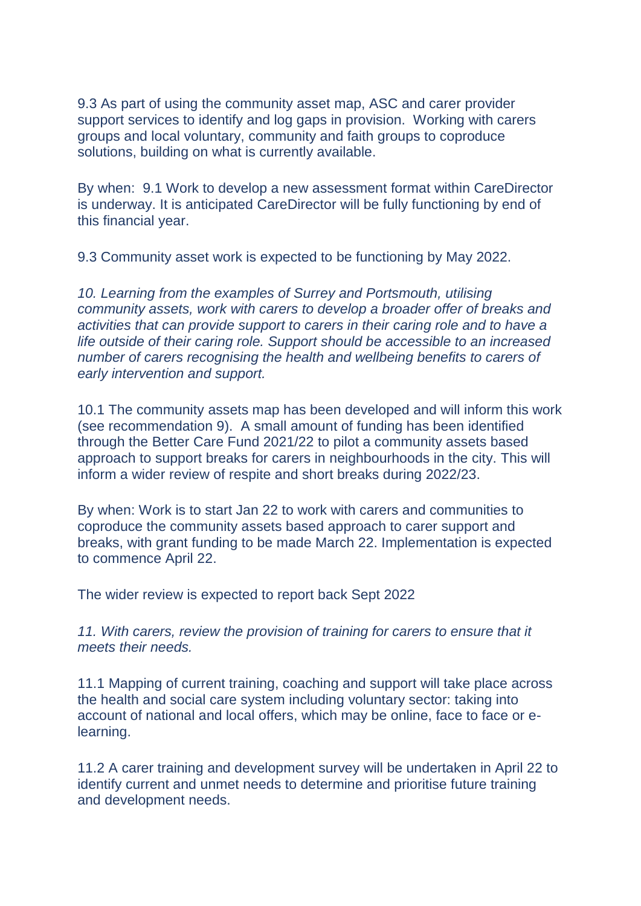9.3 As part of using the community asset map, ASC and carer provider support services to identify and log gaps in provision. Working with carers groups and local voluntary, community and faith groups to coproduce solutions, building on what is currently available.

By when: 9.1 Work to develop a new assessment format within CareDirector is underway. It is anticipated CareDirector will be fully functioning by end of this financial year.

9.3 Community asset work is expected to be functioning by May 2022.

*10. Learning from the examples of Surrey and Portsmouth, utilising community assets, work with carers to develop a broader offer of breaks and activities that can provide support to carers in their caring role and to have a life outside of their caring role. Support should be accessible to an increased number of carers recognising the health and wellbeing benefits to carers of early intervention and support.* 

10.1 The community assets map has been developed and will inform this work (see recommendation 9). A small amount of funding has been identified through the Better Care Fund 2021/22 to pilot a community assets based approach to support breaks for carers in neighbourhoods in the city. This will inform a wider review of respite and short breaks during 2022/23.

By when: Work is to start Jan 22 to work with carers and communities to coproduce the community assets based approach to carer support and breaks, with grant funding to be made March 22. Implementation is expected to commence April 22.

The wider review is expected to report back Sept 2022

*11. With carers, review the provision of training for carers to ensure that it meets their needs.* 

11.1 Mapping of current training, coaching and support will take place across the health and social care system including voluntary sector: taking into account of national and local offers, which may be online, face to face or elearning.

11.2 A carer training and development survey will be undertaken in April 22 to identify current and unmet needs to determine and prioritise future training and development needs.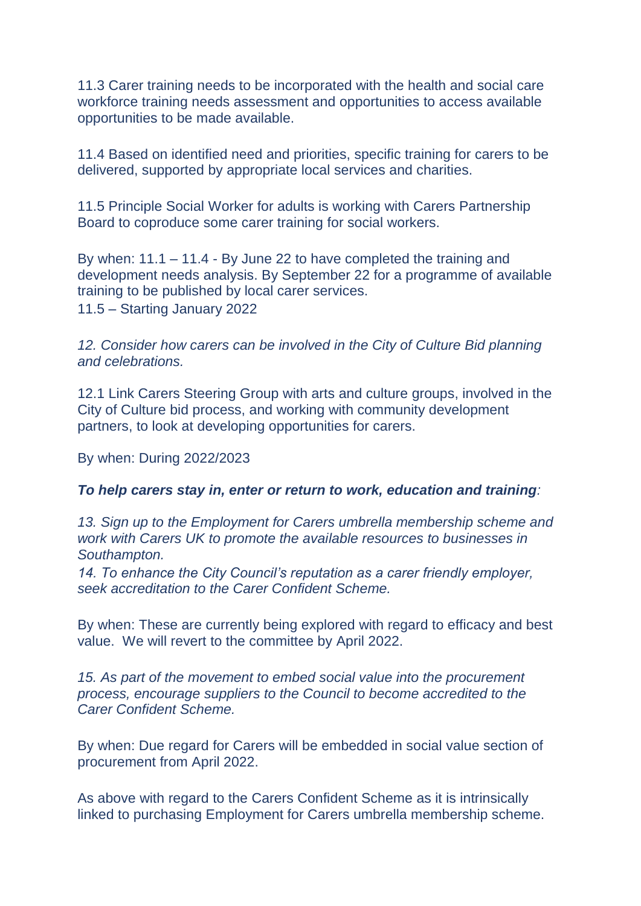11.3 Carer training needs to be incorporated with the health and social care workforce training needs assessment and opportunities to access available opportunities to be made available.

11.4 Based on identified need and priorities, specific training for carers to be delivered, supported by appropriate local services and charities.

11.5 Principle Social Worker for adults is working with Carers Partnership Board to coproduce some carer training for social workers.

By when: 11.1 – 11.4 - By June 22 to have completed the training and development needs analysis. By September 22 for a programme of available training to be published by local carer services. 11.5 – Starting January 2022

12. Consider how carers can be involved in the City of Culture Bid planning *and celebrations.* 

12.1 Link Carers Steering Group with arts and culture groups, involved in the City of Culture bid process, and working with community development partners, to look at developing opportunities for carers.

By when: During 2022/2023

### *To help carers stay in, enter or return to work, education and training:*

*13. Sign up to the Employment for Carers umbrella membership scheme and work with Carers UK to promote the available resources to businesses in Southampton.* 

*14. To enhance the City Council's reputation as a carer friendly employer, seek accreditation to the Carer Confident Scheme.* 

By when: These are currently being explored with regard to efficacy and best value. We will revert to the committee by April 2022.

*15. As part of the movement to embed social value into the procurement process, encourage suppliers to the Council to become accredited to the Carer Confident Scheme.* 

By when: Due regard for Carers will be embedded in social value section of procurement from April 2022.

As above with regard to the Carers Confident Scheme as it is intrinsically linked to purchasing Employment for Carers umbrella membership scheme.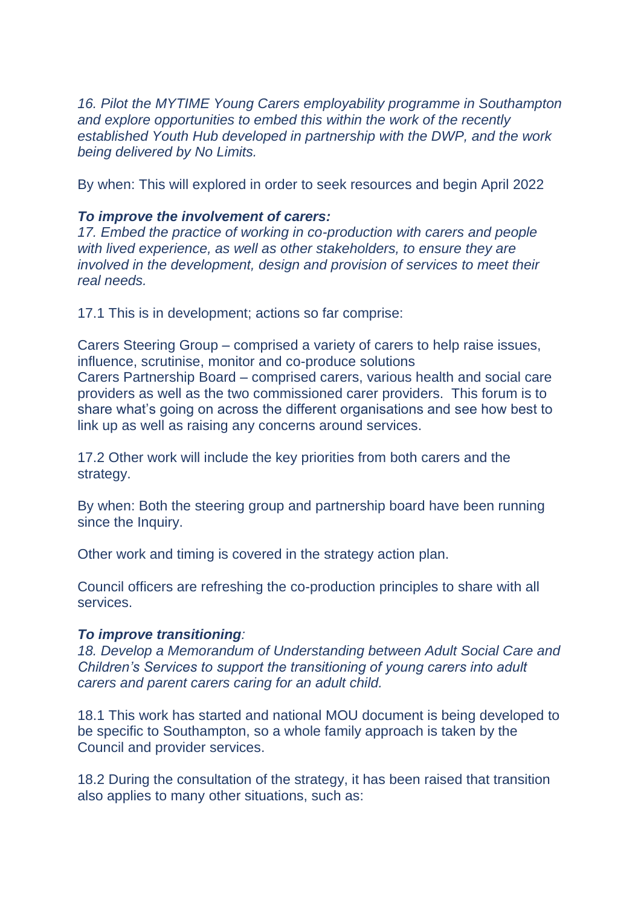*16. Pilot the MYTIME Young Carers employability programme in Southampton and explore opportunities to embed this within the work of the recently established Youth Hub developed in partnership with the DWP, and the work being delivered by No Limits.* 

By when: This will explored in order to seek resources and begin April 2022

## *To improve the involvement of carers:*

*17. Embed the practice of working in co-production with carers and people with lived experience, as well as other stakeholders, to ensure they are involved in the development, design and provision of services to meet their real needs.* 

17.1 This is in development; actions so far comprise:

Carers Steering Group – comprised a variety of carers to help raise issues, influence, scrutinise, monitor and co-produce solutions Carers Partnership Board – comprised carers, various health and social care providers as well as the two commissioned carer providers. This forum is to share what's going on across the different organisations and see how best to link up as well as raising any concerns around services.

17.2 Other work will include the key priorities from both carers and the strategy.

By when: Both the steering group and partnership board have been running since the Inquiry.

Other work and timing is covered in the strategy action plan.

Council officers are refreshing the co-production principles to share with all services.

## *To improve transitioning:*

*18. Develop a Memorandum of Understanding between Adult Social Care and Children's Services to support the transitioning of young carers into adult carers and parent carers caring for an adult child.* 

18.1 This work has started and national MOU document is being developed to be specific to Southampton, so a whole family approach is taken by the Council and provider services.

18.2 During the consultation of the strategy, it has been raised that transition also applies to many other situations, such as: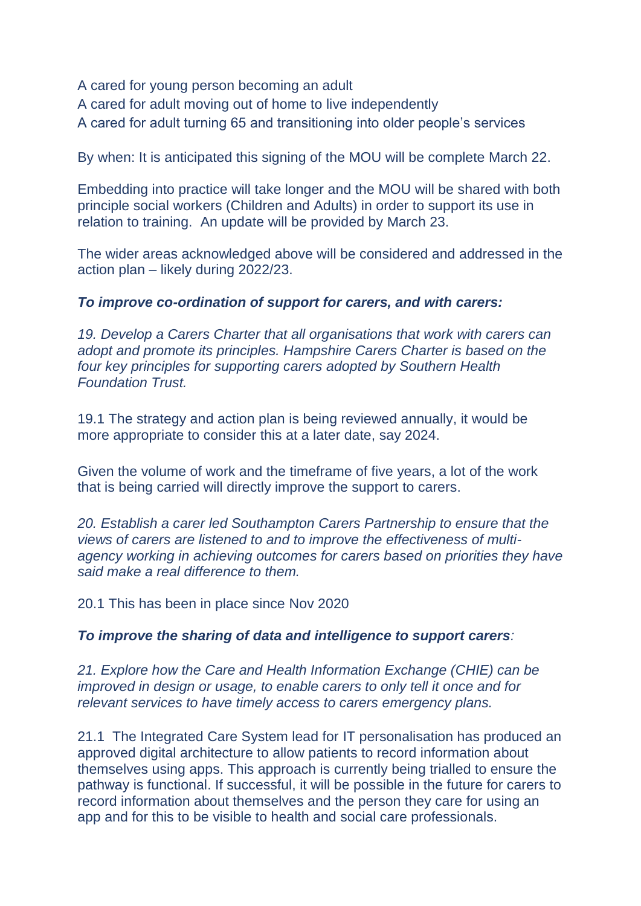A cared for young person becoming an adult

A cared for adult moving out of home to live independently

A cared for adult turning 65 and transitioning into older people's services

By when: It is anticipated this signing of the MOU will be complete March 22.

Embedding into practice will take longer and the MOU will be shared with both principle social workers (Children and Adults) in order to support its use in relation to training. An update will be provided by March 23.

The wider areas acknowledged above will be considered and addressed in the action plan – likely during 2022/23.

### *To improve co-ordination of support for carers, and with carers:*

*19. Develop a Carers Charter that all organisations that work with carers can adopt and promote its principles. Hampshire Carers Charter is based on the four key principles for supporting carers adopted by Southern Health Foundation Trust.* 

19.1 The strategy and action plan is being reviewed annually, it would be more appropriate to consider this at a later date, say 2024.

Given the volume of work and the timeframe of five years, a lot of the work that is being carried will directly improve the support to carers.

*20. Establish a carer led Southampton Carers Partnership to ensure that the views of carers are listened to and to improve the effectiveness of multiagency working in achieving outcomes for carers based on priorities they have said make a real difference to them.* 

20.1 This has been in place since Nov 2020

### *To improve the sharing of data and intelligence to support carers:*

*21. Explore how the Care and Health Information Exchange (CHIE) can be improved in design or usage, to enable carers to only tell it once and for relevant services to have timely access to carers emergency plans.* 

21.1 The Integrated Care System lead for IT personalisation has produced an approved digital architecture to allow patients to record information about themselves using apps. This approach is currently being trialled to ensure the pathway is functional. If successful, it will be possible in the future for carers to record information about themselves and the person they care for using an app and for this to be visible to health and social care professionals.